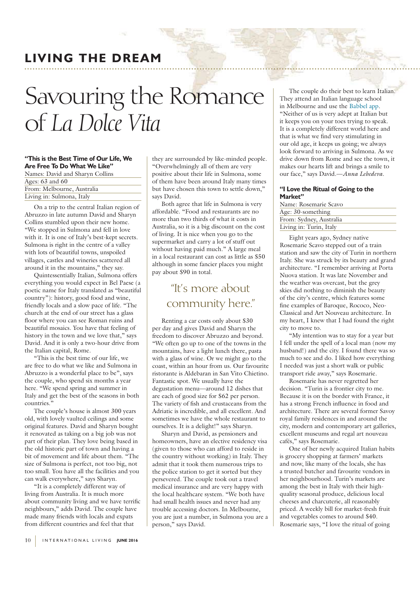## **LIVING THE DREAM**

# of *La Dolce Vita*

## **"This is the Best Time of Our Life, We Are Free To Do What We Like"**

Names: David and Sharyn Collins Ages: 63 and 60 From: Melbourne, Australia Living in: Sulmona, Italy

On a trip to the central Italian region of Abruzzo in late autumn David and Sharyn Collins stumbled upon their new home. "We stopped in Sulmona and fell in love with it. It is one of Italy's best-kept secrets. Sulmona is right in the centre of a valley with lots of beautiful towns, unspoiled villages, castles and wineries scattered all around it in the mountains," they say.

Quintessentially Italian, Sulmona offers everything you would expect in Bel Paese (a poetic name for Italy translated as "beautiful country"): history, good food and wine, friendly locals and a slow pace of life. "The church at the end of our street has a glass floor where you can see Roman ruins and beautiful mosaics. You have that feeling of history in the town and we love that," says David. And it is only a two-hour drive from the Italian capital, Rome.

"This is the best time of our life, we are free to do what we like and Sulmona in Abruzzo is a wonderful place to be", says the couple, who spend six months a year here. "We spend spring and summer in Italy and get the best of the seasons in both countries."

The couple's house is almost 300 years old, with lovely vaulted ceilings and some original features. David and Sharyn bought it renovated as taking on a big job was not part of their plan. They love being based in the old historic part of town and having a bit of movement and life about them. "The size of Sulmona is perfect, not too big, not too small. You have all the facilities and you can walk everywhere," says Sharyn.

"It is a completely different way of living from Australia. It is much more about community living and we have terrific neighbours," adds David. The couple have made many friends with locals and expats from different countries and feel that that

they are surrounded by like-minded people. "Overwhelmingly all of them are very positive about their life in Sulmona, some of them have been around Italy many times but have chosen this town to settle down," says David.

Both agree that life in Sulmona is very affordable. "Food and restaurants are no more than two thirds of what it costs in Australia, so it is a big discount on the cost of living. It is nice when you go to the supermarket and carry a lot of stuff out without having paid much." A large meal in a local restaurant can cost as little as \$50 although in some fancier places you might pay about \$90 in total.

# more about community here.

Renting a car costs only about \$30 per day and gives David and Sharyn the freedom to discover Abruzzo and beyond. "We often go up to one of the towns in the mountains, have a light lunch there, pasta with a glass of wine. Or we might go to the coast, within an hour from us. Our favourite ristorante is Aldebaran in San Vito Chietino. Fantastic spot. We usually have the degustation menu—around 12 dishes that are each of good size for \$62 per person. The variety of fish and crustaceans from the Adriatic is incredible, and all excellent. And sometimes we have the whole restaurant to ourselves. It is a delight!" says Sharyn.

Sharyn and David, as pensioners and homeowners, have an elective residency visa (given to those who can afford to reside in the country without working) in Italy. They admit that it took them numerous trips to the police station to get it sorted but they persevered. The couple took out a travel medical insurance and are very happy with the local healthcare system. "We both have had small health issues and never had any trouble accessing doctors. In Melbourne, you are just a number, in Sulmona you are a person," says David.

The couple do their best to learn Italian. They attend an Italian language school in Melbourne and use the Babbel app. "Neither of us is very adept at Italian but it keeps you on your toes trying to speak. It is a completely different world here and that is what we find very stimulating in our old age, it keeps us going; we always look forward to arriving in Sulmona. As we drive down from Rome and see the town, it makes our hearts lift and brings a smile to our face," says David.—*Anna Lebedeva*.

### **"I Love the Ritual of Going to the Market"**

| Name: Rosemarie Scavo   |
|-------------------------|
| Age: 30-something       |
| From: Sydney, Australia |
| Living in: Turin, Italy |

Eight years ago, Sydney native Rosemarie Scavo stepped out of a train station and saw the city of Turin in northern Italy. She was struck by its beauty and grand architecture. "I remember arriving at Porta Nuova station. It was late November and the weather was overcast, but the grey skies did nothing to diminish the beauty of the city's centre, which features some fine examples of Baroque, Rococo, Neo-Classical and Art Nouveau architecture. In my heart, I knew that I had found the right city to move to.

"My intention was to stay for a year but I fell under the spell of a local man (now my husband!) and the city. I found there was so much to see and do. I liked how everything I needed was just a short walk or public transport ride away," says Rosemarie.

Rosemarie has never regretted her decision. "Turin is a frontier city to me. Because it is on the border with France, it has a strong French influence in food and architecture. There are several former Savoy royal family residences in and around the city, modern and contemporary art galleries, excellent museums and regal art nouveau cafés," says Rosemarie.

One of her newly acquired Italian habits is grocery shopping at farmers' markets and now, like many of the locals, she has a trusted butcher and favourite vendors in her neighbourhood. Turin's markets are among the best in Italy with their highquality seasonal produce, delicious local cheeses and charcuterie, all reasonably priced. A weekly bill for market-fresh fruit and vegetables comes to around \$40. Rosemarie says, "I love the ritual of going